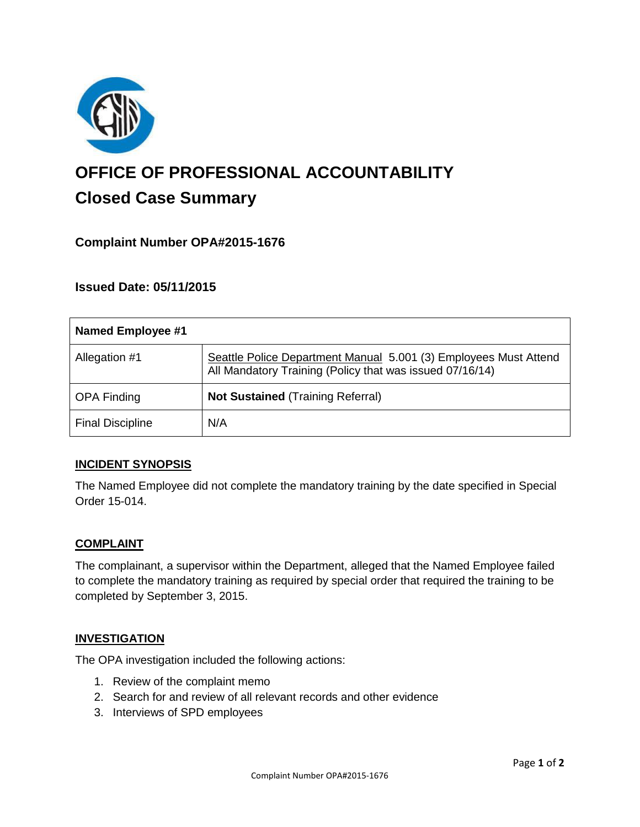

# **OFFICE OF PROFESSIONAL ACCOUNTABILITY Closed Case Summary**

# **Complaint Number OPA#2015-1676**

## **Issued Date: 05/11/2015**

| <b>Named Employee #1</b> |                                                                                                                              |
|--------------------------|------------------------------------------------------------------------------------------------------------------------------|
| Allegation #1            | Seattle Police Department Manual 5.001 (3) Employees Must Attend<br>All Mandatory Training (Policy that was issued 07/16/14) |
| <b>OPA Finding</b>       | <b>Not Sustained (Training Referral)</b>                                                                                     |
| <b>Final Discipline</b>  | N/A                                                                                                                          |

## **INCIDENT SYNOPSIS**

The Named Employee did not complete the mandatory training by the date specified in Special Order 15-014.

#### **COMPLAINT**

The complainant, a supervisor within the Department, alleged that the Named Employee failed to complete the mandatory training as required by special order that required the training to be completed by September 3, 2015.

#### **INVESTIGATION**

The OPA investigation included the following actions:

- 1. Review of the complaint memo
- 2. Search for and review of all relevant records and other evidence
- 3. Interviews of SPD employees